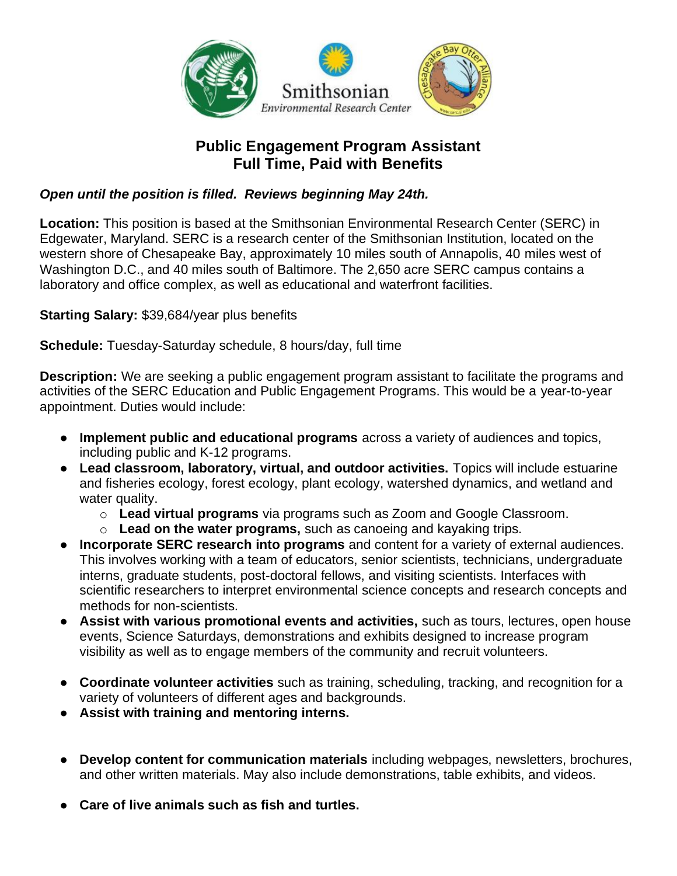

## **Public Engagement Program Assistant Full Time, Paid with Benefits**

## *Open until the position is filled. Reviews beginning May 24th.*

**Location:** This position is based at the Smithsonian Environmental Research Center (SERC) in Edgewater, Maryland. SERC is a research center of the Smithsonian Institution, located on the western shore of Chesapeake Bay, approximately 10 miles south of Annapolis, 40 miles west of Washington D.C., and 40 miles south of Baltimore. The 2,650 acre SERC campus contains a laboratory and office complex, as well as educational and waterfront facilities.

**Starting Salary:** \$39,684/year plus benefits

**Schedule:** Tuesday-Saturday schedule, 8 hours/day, full time

**Description:** We are seeking a public engagement program assistant to facilitate the programs and activities of the SERC Education and Public Engagement Programs. This would be a year-to-year appointment. Duties would include:

- **Implement public and educational programs** across a variety of audiences and topics, including public and K-12 programs.
- **Lead classroom, laboratory, virtual, and outdoor activities.** Topics will include estuarine and fisheries ecology, forest ecology, plant ecology, watershed dynamics, and wetland and water quality.
	- o **Lead virtual programs** via programs such as Zoom and Google Classroom.
	- o **Lead on the water programs,** such as canoeing and kayaking trips.
- **Incorporate SERC research into programs** and content for a variety of external audiences. This involves working with a team of educators, senior scientists, technicians, undergraduate interns, graduate students, post-doctoral fellows, and visiting scientists. Interfaces with scientific researchers to interpret environmental science concepts and research concepts and methods for non-scientists.
- **Assist with various promotional events and activities,** such as tours, lectures, open house events, Science Saturdays, demonstrations and exhibits designed to increase program visibility as well as to engage members of the community and recruit volunteers.
- **Coordinate volunteer activities** such as training, scheduling, tracking, and recognition for a variety of volunteers of different ages and backgrounds.
- **Assist with training and mentoring interns.**
- **Develop content for communication materials** including webpages, newsletters, brochures, and other written materials. May also include demonstrations, table exhibits, and videos.
- **Care of live animals such as fish and turtles.**